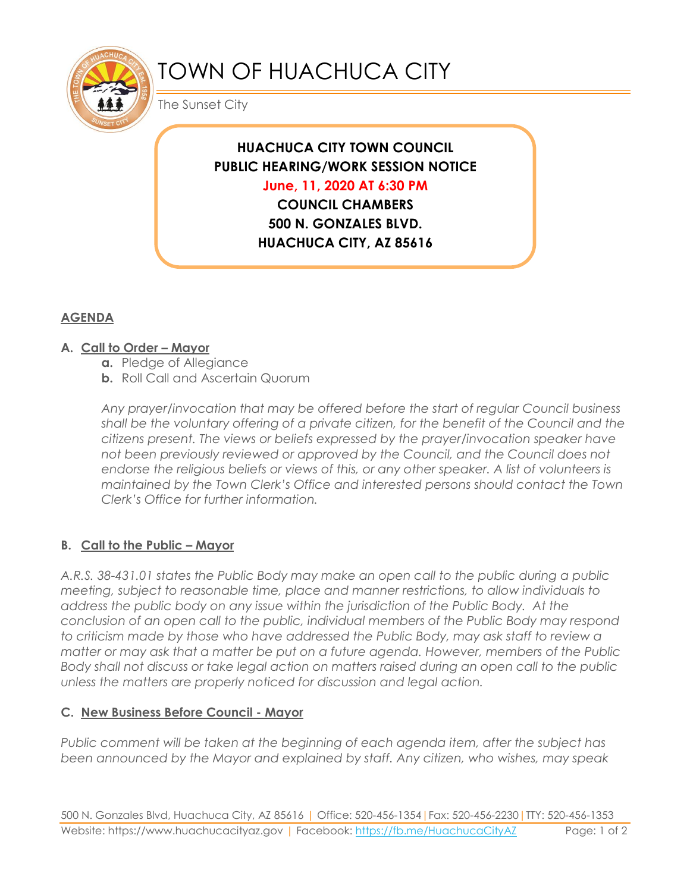

# TOWN OF HUACHUCA CITY

The Sunset City

# **HUACHUCA CITY TOWN COUNCIL PUBLIC HEARING/WORK SESSION NOTICE June, 11, 2020 AT 6:30 PM**

**COUNCIL CHAMBERS 500 N. GONZALES BLVD. HUACHUCA CITY, AZ 85616**

## **AGENDA**

### **A. Call to Order – Mayor**

- **a.** Pledge of Allegiance
- **b.** Roll Call and Ascertain Quorum

*Any prayer/invocation that may be offered before the start of regular Council business shall be the voluntary offering of a private citizen, for the benefit of the Council and the citizens present. The views or beliefs expressed by the prayer/invocation speaker have not been previously reviewed or approved by the Council, and the Council does not endorse the religious beliefs or views of this, or any other speaker. A list of volunteers is maintained by the Town Clerk's Office and interested persons should contact the Town Clerk's Office for further information.*

### **B. Call to the Public – Mayor**

*A.R.S. 38-431.01 states the Public Body may make an open call to the public during a public meeting, subject to reasonable time, place and manner restrictions, to allow individuals to address the public body on any issue within the jurisdiction of the Public Body. At the conclusion of an open call to the public, individual members of the Public Body may respond to criticism made by those who have addressed the Public Body, may ask staff to review a matter or may ask that a matter be put on a future agenda. However, members of the Public Body shall not discuss or take legal action on matters raised during an open call to the public unless the matters are properly noticed for discussion and legal action.*

#### **C. New Business Before Council - Mayor**

*Public comment will be taken at the beginning of each agenda item, after the subject has been announced by the Mayor and explained by staff. Any citizen, who wishes, may speak*